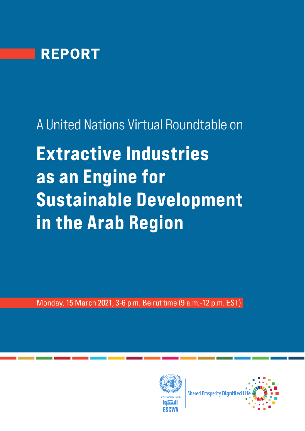

A United Nations Virtual Roundtable on **Extractive Industries** as an Engine for **Sustainable Development** in the Arab Region

Monday, 15 March 2021, 3-6 p.m. Beirut time (9 a.m.-12 p.m. EST)



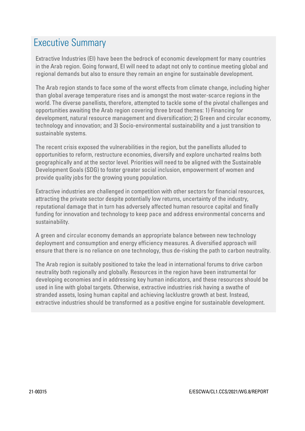## Executive Summary

Extractive Industries (EI) have been the bedrock of economic development for many countries in the Arab region. Going forward, EI will need to adapt not only to continue meeting global and regional demands but also to ensure they remain an engine for sustainable development.

The Arab region stands to face some of the worst effects from climate change, including higher than global average temperature rises and is amongst the most water-scarce regions in the world. The diverse panellists, therefore, attempted to tackle some of the pivotal challenges and opportunities awaiting the Arab region covering three broad themes: 1) Financing for development, natural resource management and diversification; 2) Green and circular economy, technology and innovation; and 3) Socio-environmental sustainability and a just transition to sustainable systems.

The recent crisis exposed the vulnerabilities in the region, but the panellists alluded to opportunities to reform, restructure economies, diversify and explore uncharted realms both geographically and at the sector level. Priorities will need to be aligned with the Sustainable Development Goals (SDG) to foster greater social inclusion, empowerment of women and provide quality jobs for the growing young population.

Extractive industries are challenged in competition with other sectors for financial resources, attracting the private sector despite potentially low returns, uncertainty of the industry, reputational damage that in turn has adversely affected human resource capital and finally funding for innovation and technology to keep pace and address environmental concerns and sustainability.

A green and circular economy demands an appropriate balance between new technology deployment and consumption and energy efficiency measures. A diversified approach will ensure that there is no reliance on one technology, thus de-risking the path to carbon neutrality.

The Arab region is suitably positioned to take the lead in international forums to drive carbon neutrality both regionally and globally. Resources in the region have been instrumental for developing economies and in addressing key human indicators, and these resources should be used in line with global targets. Otherwise, extractive industries risk having a swathe of stranded assets, losing human capital and achieving lacklustre growth at best. Instead, extractive industries should be transformed as a positive engine for sustainable development.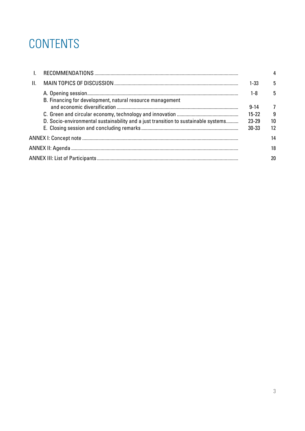## CONTENTS

| II. |                                                                                    | $1 - 33$  | 5  |
|-----|------------------------------------------------------------------------------------|-----------|----|
|     | B. Financing for development, natural resource management                          | $1-8$     | 5  |
|     |                                                                                    | $9 - 14$  | 7  |
|     |                                                                                    | $15 - 22$ | -9 |
|     | D. Socio-environmental sustainability and a just transition to sustainable systems | $23 - 29$ | 10 |
|     |                                                                                    | $30 - 33$ | 12 |
|     |                                                                                    |           | 14 |
|     |                                                                                    |           | 18 |
|     |                                                                                    |           | 20 |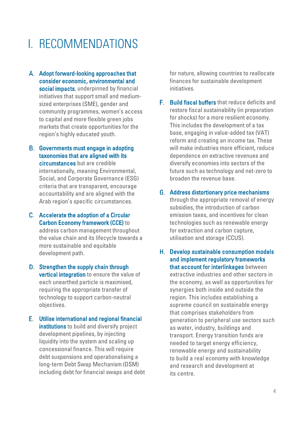## <span id="page-3-0"></span>I. RECOMMENDATIONS

- A. Adopt forward-looking approaches that consider economic, environmental and social impacts, underpinned by financial initiatives that support small and mediumsized enterprises (SME), gender and community programmes, women's access to capital and more flexible green jobs markets that create opportunities for the region's highly educated youth.
- B. Governments must engage in adopting taxonomies that are aligned with its circumstances but are credible internationally, meaning Environmental, Social, and Corporate Governance (ESG) criteria that are transparent, encourage accountability and are aligned with the Arab region's specific circumstances.
- Accelerate the adoption of a Circular Carbon Economy framework (CCE) to address carbon management throughout the value chain and its lifecycle towards a more sustainable and equitable development path.
- D. Strengthen the supply chain through **vertical integration** to ensure the value of each unearthed particle is maximised, requiring the appropriate transfer of technology to support carbon-neutral objectives.
- Utilise international and regional financial institutions to build and diversify project development pipelines, by injecting liquidity into the system and scaling up concessional finance. This will require debt suspensions and operationalising a long-term Debt Swap Mechanism (DSM) including debt for financial swaps and debt

for nature, allowing countries to reallocate finances for sustainable development initiatives.

- **F.** Build fiscal buffers that reduce deficits and restore fiscal sustainability (in preparation for shocks) for a more resilient economy. This includes the development of a tax base, engaging in value-added tax (VAT) reform and creating an income tax. These will make industries more efficient, reduce dependence on extractive revenues and diversify economies into sectors of the future such as technology and net-zero to broaden the revenue base.
- Address distortionary price mechanisms through the appropriate removal of energy subsidies, the introduction of carbon emission taxes, and incentives for clean technologies such as renewable energy for extraction and carbon capture, utilisation and storage (CCUS).
- Develop sustainable consumption models and implement regulatory frameworks that account for interlinkages between extractive industries and other sectors in the economy, as well as opportunities for synergies both inside and outside the region. This includes establishing a supreme council on sustainable energy that comprises stakeholders from generation to peripheral use sectors such as water, industry, buildings and transport. Energy transition funds are needed to target energy efficiency, renewable energy and sustainability to build a real economy with knowledge and research and development at its centre.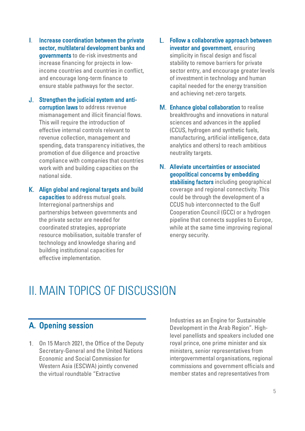- L. Increase coordination between the private sector, multilateral development banks and governments to de-risk investments and increase financing for projects in lowincome countries and countries in conflict, and encourage long-term finance to ensure stable pathways for the sector.
- J. Strengthen the judicial system and anticorruption laws to address revenue mismanagement and illicit financial flows. This will require the introduction of effective internal controls relevant to revenue collection, management and spending, data transparency initiatives, the promotion of due diligence and proactive compliance with companies that countries work with and building capacities on the national side.
- Align global and regional targets and build capacities to address mutual goals. Interregional partnerships and partnerships between governments and the private sector are needed for coordinated strategies, appropriate resource mobilisation, suitable transfer of technology and knowledge sharing and building institutional capacities for effective implementation.
- L. Follow a collaborative approach between investor and government, ensuring simplicity in fiscal design and fiscal stability to remove barriers for private sector entry, and encourage greater levels of investment in technology and human capital needed for the energy transition and achieving net-zero targets.
- M. Enhance global collaboration to realise breakthroughs and innovations in natural sciences and advances in the applied (CCUS, hydrogen and synthetic fuels, manufacturing, artificial intelligence, data analytics and others) to reach ambitious neutrality targets.
- Alleviate uncertainties or associated geopolitical concerns by embedding stabilising factors including geographical coverage and regional connectivity. This could be through the development of a CCUS hub interconnected to the Gulf Cooperation Council (GCC) or a hydrogen pipeline that connects supplies to Europe, while at the same time improving regional energy security.

## <span id="page-4-0"></span>II. MAIN TOPICS OF DISCUSSION

## <span id="page-4-1"></span>A. Opening session

1. On 15 March 2021, the Office of the Deputy Secretary-General and the United Nations Economic and Social Commission for Western Asia (ESCWA) jointly convened the virtual roundtable "Extractive

Industries as an Engine for Sustainable Development in the Arab Region". Highlevel panellists and speakers included one royal prince, one prime minister and six ministers, senior representatives from intergovernmental organisations, regional commissions and government officials and member states and representatives from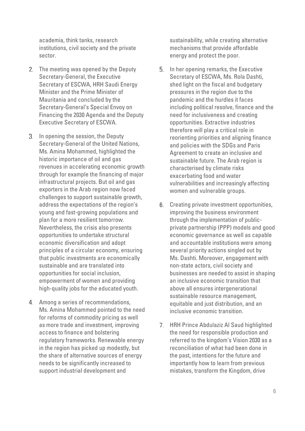academia, think tanks, research institutions, civil society and the private sector.

- 2. The meeting was opened by the Deputy Secretary-General, the Executive Secretary of ESCWA, HRH Saudi Energy Minister and the Prime Minister of Mauritania and concluded by the Secretary-General's Special Envoy on Financing the 2030 Agenda and the Deputy Executive Secretary of ESCWA.
- 3. In opening the session, the Deputy Secretary-General of the United Nations, Ms. Amina Mohammed, highlighted the historic importance of oil and gas revenues in accelerating economic growth through for example the financing of major infrastructural projects. But oil and gas exporters in the Arab region now faced challenges to support sustainable growth, address the expectations of the region's young and fast-growing populations and plan for a more resilient tomorrow. Nevertheless, the crisis also presents opportunities to undertake structural economic diversification and adopt principles of a circular economy, ensuring that public investments are economically sustainable and are translated into opportunities for social inclusion, empowerment of women and providing high-quality jobs for the educated youth.
- Among a series of recommendations, Ms. Amina Mohammed pointed to the need for reforms of commodity pricing as well as more trade and investment, improving access to finance and bolstering regulatory frameworks. Renewable energy in the region has picked up modestly, but the share of alternative sources of energy needs to be significantly increased to support industrial development and

sustainability, while creating alternative mechanisms that provide affordable energy and protect the poor.

- **5.** In her opening remarks, the Executive Secretary of ESCWA, Ms. Rola Dashti, shed light on the fiscal and budgetary pressures in the region due to the pandemic and the hurdles it faces including political resolve, finance and the need for inclusiveness and creating opportunities. Extractive industries therefore will play a critical role in reorienting priorities and aligning finance and policies with the SDGs and Paris Agreement to create an inclusive and sustainable future. The Arab region is characterised by climate risks exacerbating food and water vulnerabilities and increasingly affecting women and vulnerable groups.
- 6. Creating private investment opportunities, improving the business environment through the implementation of publicprivate partnership (PPP) models and good economic governance as well as capable and accountable institutions were among several priority actions singled out by Ms. Dashti. Moreover, engagement with non-state actors, civil society and businesses are needed to assist in shaping an inclusive economic transition that above all ensures intergenerational sustainable resource management, equitable and just distribution, and an inclusive economic transition.
- 7. HRH Prince Abdulaziz Al Saud highlighted the need for responsible production and referred to the kingdom's Vision 2030 as a reconciliation of what had been done in the past, intentions for the future and importantly how to learn from previous mistakes, transform the Kingdom, drive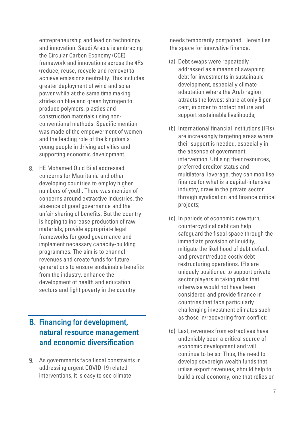entrepreneurship and lead on technology and innovation. Saudi Arabia is embracing the Circular Carbon Economy (CCE) framework and innovations across the 4Rs (reduce, reuse, recycle and remove) to achieve emissions neutrality. This includes greater deployment of wind and solar power while at the same time making strides on blue and green hydrogen to produce polymers, plastics and construction materials using nonconventional methods. Specific mention was made of the empowerment of women and the leading role of the kingdom's young people in driving activities and supporting economic development.

HE Mohamed Ould Bilal addressed concerns for Mauritania and other developing countries to employ higher numbers of youth. There was mention of concerns around extractive industries, the absence of good governance and the unfair sharing of benefits. But the country is hoping to increase production of raw materials, provide appropriate legal frameworks for good governance and implement necessary capacity-building programmes. The aim is to channel revenues and create funds for future generations to ensure sustainable benefits from the industry, enhance the development of health and education sectors and fight poverty in the country.

### <span id="page-6-0"></span>B. Financing for development, natural resource management and economic diversification

As governments face fiscal constraints in addressing urgent COVID-19 related interventions, it is easy to see climate

needs temporarily postponed. Herein lies the space for innovative finance.

- (a) Debt swaps were repeatedly addressed as a means of swapping debt for investments in sustainable development, especially climate adaptation where the Arab region attracts the lowest share at only 6 per cent, in order to protect nature and support sustainable livelihoods;
- (b) International financial institutions (IFIs) are increasingly targeting areas where their support is needed, especially in the absence of government intervention. Utilising their resources, preferred creditor status and multilateral leverage, they can mobilise finance for what is a capital-intensive industry, draw in the private sector through syndication and finance critical projects;
- (c) In periods of economic downturn, countercyclical debt can help safeguard the fiscal space through the immediate provision of liquidity, mitigate the likelihood of debt default and prevent/reduce costly debt restructuring operations. IFIs are uniquely positioned to support private sector players in taking risks that otherwise would not have been considered and provide finance in countries that face particularly challenging investment climates such as those in/recovering from conflict;
- (d) Last, revenues from extractives have undeniably been a critical source of economic development and will continue to be so. Thus, the need to develop sovereign wealth funds that utilise export revenues, should help to build a real economy, one that relies on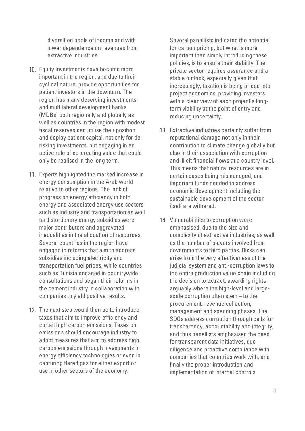diversified pools of income and with lower dependence on revenues from extractive industries.

- 10. Equity investments have become more important in the region, and due to their cyclical nature, provide opportunities for patient investors in the downturn. The region has many deserving investments, and multilateral development banks (MDBs) both regionally and globally as well as countries in the region with modest fiscal reserves can utilise their position and deploy patient capital, not only for derisking investments, but engaging in an active role of co-creating value that could only be realised in the long term.
- 11. Experts highlighted the marked increase in energy consumption in the Arab world relative to other regions. The lack of progress on energy efficiency in both energy and associated energy use sectors such as industry and transportation as well as distortionary energy subsidies were major contributors and aggravated inequalities in the allocation of resources. Several countries in the region have engaged in reforms that aim to address subsidies including electricity and transportation fuel prices, while countries such as Tunisia engaged in countrywide consultations and began their reforms in the cement industry in collaboration with companies to yield positive results.
- 12. The next step would then be to introduce taxes that aim to improve efficiency and curtail high carbon emissions. Taxes on emissions should encourage industry to adopt measures that aim to address high carbon emissions through investments in energy efficiency technologies or even in capturing flared gas for either export or use in other sectors of the economy.

Several panellists indicated the potential for carbon pricing, but what is more important than simply introducing these policies, is to ensure their stability. The private sector requires assurance and a stable outlook, especially given that increasingly, taxation is being priced into project economics, providing investors with a clear view of each project's longterm viability at the point of entry and reducing uncertainty.

- 13. Extractive industries certainly suffer from reputational damage not only in their contribution to climate change globally but also in their association with corruption and illicit financial flows at a country level. This means that natural resources are in certain cases being mismanaged, and important funds needed to address economic development including the sustainable development of the sector itself are withered.
- 14. Vulnerabilities to corruption were emphasised, due to the size and complexity of extractive industries, as well as the number of players involved from governments to third parties. Risks can arise from the very effectiveness of the judicial system and anti-corruption laws to the entire production value chain including the decision to extract, awarding rights – arguably where the high-level and largescale corruption often stem – to the procurement, revenue collection, management and spending phases. The SDGs address corruption through calls for transparency, accountability and integrity, and thus panellists emphasised the need for transparent data initiatives, due diligence and proactive compliance with companies that countries work with, and finally the proper introduction and implementation of internal controls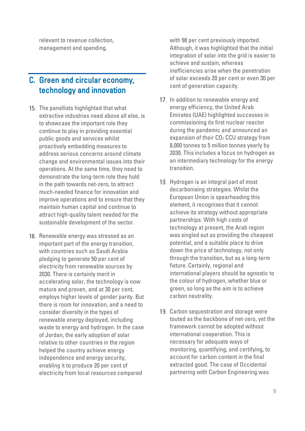relevant to revenue collection, management and spending.

### <span id="page-8-0"></span>C. Green and circular economy, technology and innovation

- 15. The panellists highlighted that what extractive industries need above all else, is to showcase the important role they continue to play in providing essential public goods and services whilst proactively embedding measures to address serious concerns around climate change and environmental issues into their operations. At the same time, they need to demonstrate the long-term role they hold in the path towards net-zero, to attract much-needed finance for innovation and improve operations and to ensure that they maintain human capital and continue to attract high-quality talent needed for the sustainable development of the sector.
- 16. Renewable energy was stressed as an important part of the energy transition, with countries such as Saudi Arabia pledging to generate 50 per cent of electricity from renewable sources by 2030. There is certainly merit in accelerating solar, the technology is now mature and proven, and at 30 per cent, employs higher levels of gender parity. But there is room for innovation, and a need to consider diversity in the types of renewable energy deployed, including waste to energy and hydrogen. In the case of Jordan, the early adoption of solar relative to other countries in the region helped the country achieve energy independence and energy security, enabling it to produce 20 per cent of electricity from local resources compared

with 98 per cent previously imported. Although, it was highlighted that the initial integration of solar into the grid is easier to achieve and sustain, whereas inefficiencies arise when the penetration of solar exceeds 20 per cent or even 30 per cent of generation capacity.

- 17. In addition to renewable energy and energy efficiency, the United Arab Emirates (UAE) highlighted successes in commissioning its first nuclear reactor during the pandemic and announced an expansion of their CO<sub>2</sub> CCU strategy from 8,000 tonnes to 5 million tonnes yearly by 2030. This includes a focus on hydrogen as an intermediary technology for the energy transition.
- 18. Hydrogen is an integral part of most decarbonising strategies. Whilst the European Union is spearheading this element, it recognises that it cannot achieve its strategy without appropriate partnerships. With high costs of technology at present, the Arab region was singled out as providing the cheapest potential, and a suitable place to drive down the price of technology, not only through the transition, but as a long-term fixture. Certainly, regional and international players should be agnostic to the colour of hydrogen, whether blue or green, so long as the aim is to achieve carbon neutrality.
- 19. Carbon sequestration and storage were touted as the backbone of net-zero, yet the framework cannot be adopted without international cooperation. This is necessary for adequate ways of monitoring, quantifying, and certifying, to account for carbon content in the final extracted good. The case of Occidental partnering with Carbon Engineering was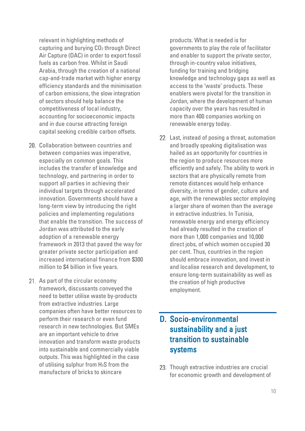relevant in highlighting methods of capturing and burying CO2 through Direct Air Capture (DAC) in order to export fossil fuels as carbon free. Whilst in Saudi Arabia, through the creation of a national cap-and-trade market with higher energy efficiency standards and the minimisation of carbon emissions, the slow integration of sectors should help balance the competitiveness of local industry, accounting for socioeconomic impacts and in due course attracting foreign capital seeking credible carbon offsets.

- 20. Collaboration between countries and between companies was imperative, especially on common goals. This includes the transfer of knowledge and technology, and partnering in order to support all parties in achieving their individual targets through accelerated innovation. Governments should have a long-term view by introducing the right policies and implementing regulations that enable the transition. The success of Jordan was attributed to the early adoption of a renewable energy framework in 2013 that paved the way for greater private sector participation and increased international finance from \$300 million to \$4 billion in five years.
- 21. As part of the circular economy framework, discussants conveyed the need to better utilise waste by-products from extractive industries. Large companies often have better resources to perform their research or even fund research in new technologies. But SMEs are an important vehicle to drive innovation and transform waste products into sustainable and commercially viable outputs. This was highlighted in the case of utilising sulphur from H2S from the manufacture of bricks to skincare

products. What is needed is for governments to play the role of facilitator and enabler to support the private sector, through in-country value initiatives, funding for training and bridging knowledge and technology gaps as well as access to the 'waste' products. These enablers were pivotal for the transition in Jordan, where the development of human capacity over the years has resulted in more than 400 companies working on renewable energy today.

22. Last, instead of posing a threat, automation and broadly speaking digitalisation was hailed as an opportunity for countries in the region to produce resources more efficiently and safely. The ability to work in sectors that are physically remote from remote distances would help enhance diversity, in terms of gender, culture and age, with the renewables sector employing a larger share of women than the average in extractive industries. In Tunisia, renewable energy and energy efficiency had already resulted in the creation of more than 1,000 companies and 10,000 direct jobs, of which women occupied 30 per cent. Thus, countries in the region should embrace innovation, and invest in and localise research and development, to ensure long-term sustainability as well as the creation of high productive employment.

### <span id="page-9-0"></span>D. Socio-environmental sustainability and a just transition to sustainable systems

23. Though extractive industries are crucial for economic growth and development of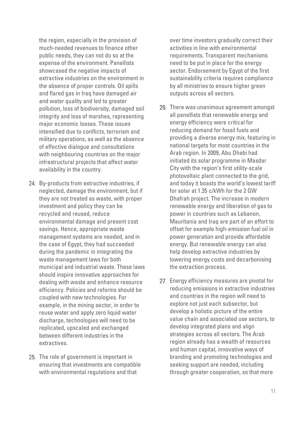the region, especially in the provision of much-needed revenues to finance other public needs, they can not do so at the expense of the environment. Panellists showcased the negative impacts of extractive industries on the environment in the absence of proper controls. Oil spills and flared gas in Iraq have damaged air and water quality and led to greater pollution, loss of biodiversity, damaged soil integrity and loss of marshes, representing major economic losses. These issues intensified due to conflicts, terrorism and military operations, as well as the absence of effective dialogue and consultations with neighbouring countries on the major infrastructural projects that affect water availability in the country.

- 24. By-products from extractive industries, if neglected, damage the environment, but if they are not treated as waste, with proper investment and policy they can be recycled and reused, reduce environmental damage and present cost savings. Hence, appropriate waste management systems are needed, and in the case of Egypt, they had succeeded during the pandemic in integrating the waste management laws for both municipal and industrial waste. These laws should inspire innovative approaches for dealing with waste and enhance resource efficiency. Policies and reforms should be coupled with new technologies. For example, in the mining sector, in order to reuse water and apply zero liquid water discharge, technologies will need to be replicated, upscaled and exchanged between different industries in the extractives.
- 25. The role of government is important in ensuring that investments are compatible with environmental regulations and that

over time investors gradually correct their activities in line with environmental requirements. Transparent mechanisms need to be put in place for the energy sector. Endorsement by Egypt of the first sustainability criteria requires compliance by all ministries to ensure higher green outputs across all sectors.

- 26. There was unanimous agreement amongst all panellists that renewable energy and energy efficiency were critical for reducing demand for fossil fuels and providing a diverse energy mix, featuring in national targets for most countries in the Arab region. In 2009, Abu Dhabi had initiated its solar programme in Masdar City with the region's first utility-scale photovoltaic plant connected to the grid, and today it boasts the world's lowest tariff for solar at 1.35 c/kWh for the 2 GW Dhafrah project. The increase in modern renewable energy and liberation of gas to power in countries such as Lebanon, Mauritania and Iraq are part of an effort to offset for example high-emission fuel oil in power generation and provide affordable energy. But renewable energy can also help develop extractive industries by lowering energy costs and decarbonising the extraction process.
- 27. Energy efficiency measures are pivotal for reducing emissions in extractive industries and countries in the region will need to explore not just each subsector, but develop a holistic picture of the entire value chain and associated use sectors, to develop integrated plans and align strategies across all sectors. The Arab region already has a wealth of resources and human capital, innovative ways of branding and promoting technologies and seeking support are needed, including through greater cooperation, so that more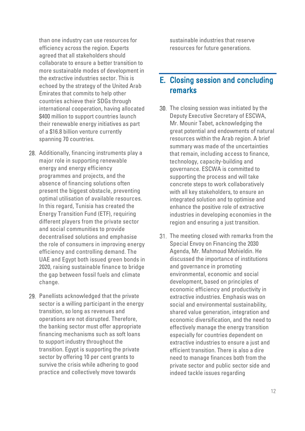than one industry can use resources for efficiency across the region. Experts agreed that all stakeholders should collaborate to ensure a better transition to more sustainable modes of development in the extractive industries sector. This is echoed by the strategy of the United Arab Emirates that commits to help other countries achieve their SDGs through international cooperation, having allocated \$400 million to support countries launch their renewable energy initiatives as part of a \$16.8 billion venture currently spanning 70 countries.

- 28. Additionally, financing instruments play a major role in supporting renewable energy and energy efficiency programmes and projects, and the absence of financing solutions often present the biggest obstacle, preventing optimal utilisation of available resources. In this regard, Tunisia has created the Energy Transition Fund (ETF), requiring different players from the private sector and social communities to provide decentralised solutions and emphasise the role of consumers in improving energy efficiency and controlling demand. The UAE and Egypt both issued green bonds in 2020, raising sustainable finance to bridge the gap between fossil fuels and climate change.
- 29. Panellists acknowledged that the private sector is a willing participant in the energy transition, so long as revenues and operations are not disrupted. Therefore, the banking sector must offer appropriate financing mechanisms such as soft loans to support industry throughout the transition. Egypt is supporting the private sector by offering 10 per cent grants to survive the crisis while adhering to good practice and collectively move towards

sustainable industries that reserve resources for future generations.

#### <span id="page-11-0"></span>E. Closing session and concluding remarks

- 30. The closing session was initiated by the Deputy Executive Secretary of ESCWA, Mr. Mounir Tabet, acknowledging the great potential and endowments of natural resources within the Arab region. A brief summary was made of the uncertainties that remain, including access to finance, technology, capacity-building and governance. ESCWA is committed to supporting the process and will take concrete steps to work collaboratively with all key stakeholders, to ensure an integrated solution and to optimise and enhance the positive role of extractive industries in developing economies in the region and ensuring a just transition.
- 31. The meeting closed with remarks from the Special Envoy on Financing the 2030 Agenda, Mr. Mahmoud Mohieldin. He discussed the importance of institutions and governance in promoting environmental, economic and social development, based on principles of economic efficiency and productivity in extractive industries. Emphasis was on social and environmental sustainability, shared value generation, integration and economic diversification, and the need to effectively manage the energy transition especially for countries dependent on extractive industries to ensure a just and efficient transition. There is also a dire need to manage finances both from the private sector and public sector side and indeed tackle issues regarding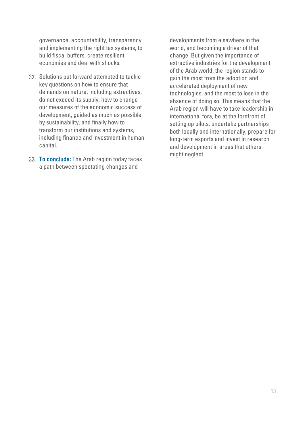governance, accountability, transparency and implementing the right tax systems, to build fiscal buffers, create resilient economies and deal with shocks.

- 32. Solutions put forward attempted to tackle key questions on how to ensure that demands on nature, including extractives, do not exceed its supply, how to change our measures of the economic success of development, guided as much as possible by sustainability, and finally how to transform our institutions and systems, including finance and investment in human capital.
- 33. To conclude: The Arab region today faces a path between spectating changes and

developments from elsewhere in the world, and becoming a driver of that change. But given the importance of extractive industries for the development of the Arab world, the region stands to gain the most from the adoption and accelerated deployment of new technologies, and the most to lose in the absence of doing so. This means that the Arab region will have to take leadership in international fora, be at the forefront of setting up pilots, undertake partnerships both locally and internationally, prepare for long-term exports and invest in research and development in areas that others might neglect.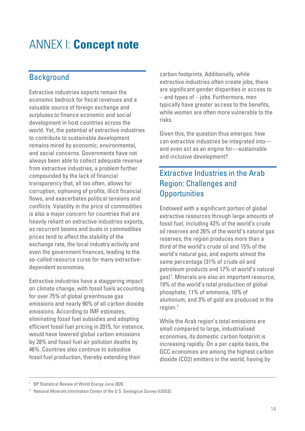## <span id="page-13-0"></span>ANNEX I: **Concept note**

## **Background**

Extractive industries exports remain the economic bedrock for fiscal revenues and a valuable source of foreign exchange and surpluses to finance economic and social development in host countries across the world. Yet, the potential of extractive industries to contribute to sustainable development remains mired by economic, environmental, and social concerns. Governments have not always been able to collect adequate revenue from extractive industries, a problem further compounded by the lack of financial transparency that, all too often, allows for corruption, siphoning of profits, illicit financial flows, and exacerbates political tensions and conflicts. Volatility in the price of commodities is also a major concern for countries that are heavily reliant on extractive industries exports, as recurrent booms and busts in commodities prices tend to affect the stability of the exchange rate, the local industry activity and even the government finances, leading to the so-called resource curse for many extractivedependent economies.

Extractive industries have a staggering impact on climate change, with fossil fuels accounting for over 75% of global greenhouse gas emissions and nearly 90% of all carbon dioxide emissions. According to IMF estimates, eliminating fossil fuel subsidies and adopting efficient fossil fuel pricing in 2015, for instance, would have lowered global carbon emissions by 28% and fossil fuel air pollution deaths by 46%. Countries also continue to subsidise fossil fuel production, thereby extending their

carbon footprints. Additionally, while extractive industries often create jobs, there are significant gender disparities in access to – and types of – jobs. Furthermore, men typically have greater access to the benefits, while women are often more vulnerable to the risks.

Given this, the question thus emerges: how can extractive industries be integrated into and even act as an engine for—sustainable and inclusive development?

## Extractive Industries in the Arab Region: Challenges and **Opportunities**

Endowed with a significant portion of global extractive resources through large amounts of fossil fuel, including 43% of the world's crude oil reserves and 26% of the world's natural gas reserves, the region produces more than a third of the world's crude oil and 15% of the world's natural gas, and exports almost the same percentage (31% of crude oil and petroleum products and 17% of world's natural gas)<sup>[1](#page-13-1)</sup>. Minerals are also an important resource, 19% of the world's total production of global phosphate, 11% of ammonia, 10% of aluminium, and 3% of gold are produced in the region. $2$ 

While the Arab region's total emissions are small compared to large, industrialised economies, its domestic carbon footprint is increasing rapidly. On a per capita basis, the GCC economies are among the highest carbon dioxide (CO2) emitters in the world, having by

<span id="page-13-1"></span><sup>&</sup>lt;sup>1</sup> BP Statistical Review of World Energy June 2020.

<span id="page-13-2"></span><sup>&</sup>lt;sup>2</sup> National Minerals Information Center of the U.S. Geological Survey (USGS).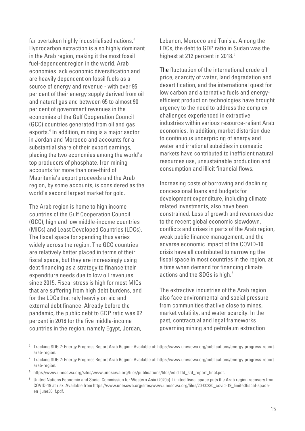far overtaken highly industrialised nations. $^3$  $^3$ Hydrocarbon extraction is also highly dominant in the Arab region, making it the most fossil fuel-dependent region in the world. Arab economies lack economic diversification and are heavily dependent on fossil fuels as a source of energy and revenue - with over 95 per cent of their energy supply derived from oil and natural gas and between 65 to almost 90 per cent of government revenues in the economies of the Gulf Cooperation Council (GCC) countries generated from oil and gas exports.[4](#page-14-1) In addition, mining is a major sector in Jordan and Morocco and accounts for a substantial share of their export earnings, placing the two economies among the world's top producers of phosphate. Iron mining accounts for more than one-third of Mauritania's export proceeds and the Arab region, by some accounts, is considered as the world's second largest market for gold.

The Arab region is home to high income countries of the Gulf Cooperation Council (GCC), high and low middle-income countries (MICs) and Least Developed Countries (LDCs). The fiscal space for spending thus varies widely across the region. The GCC countries are relatively better placed in terms of their fiscal space, but they are increasingly using debt financing as a strategy to finance their expenditure needs due to low oil revenues since 2015. Fiscal stress is high for most MICs that are suffering from high debt burdens, and for the LDCs that rely heavily on aid and external debt finance. Already before the pandemic, the public debt to GDP ratio was 92 percent in 2018 for the five middle-income countries in the region, namely Egypt, Jordan,

Lebanon, Morocco and Tunisia. Among the LDCs, the debt to GDP ratio in Sudan was the highest at 212 percent in 2018.<sup>[5](#page-14-2)</sup>

The fluctuation of the international crude oil price, scarcity of water, land degradation and desertification, and the international quest for low carbon and alternative fuels and energyefficient production technologies have brought urgency to the need to address the complex challenges experienced in extractive industries within various resource-reliant Arab economies. In addition, market distortion due to continuous underpricing of energy and water and irrational subsidies in domestic markets have contributed to inefficient natural resources use, unsustainable production and consumption and illicit financial flows.

Increasing costs of borrowing and declining concessional loans and budgets for development expenditure, including climate related investments, also have been constrained. Loss of growth and revenues due to the recent global economic slowdown. conflicts and crises in parts of the Arab region, weak public finance management, and the adverse economic impact of the COVID-19 crisis have all contributed to narrowing the fiscal space in most countries in the region, at a time when demand for financing climate actions and the SDGs is high.<sup>[6](#page-14-3)</sup>

The extractive industries of the Arab region also face environmental and social pressure from communities that live close to mines, market volatility, and water scarcity. In the past, contractual and legal frameworks governing mining and petroleum extraction

<span id="page-14-0"></span><sup>3</sup> Tracking SDG 7: Energy Progress Report Arab Region: Available at: https://www.unescwa.org/publications/energy-progress-reportarab-region.

<span id="page-14-1"></span><sup>4</sup> Tracking SDG 7: Energy Progress Report Arab Region: Available at: https://www.unescwa.org/publications/energy-progress-reportarab-region.

<span id="page-14-2"></span><sup>5</sup> https://www.unescwa.org/sites/www.unescwa.org/files/publications/files/edid-ffd\_sfd\_report\_final.pdf.

<span id="page-14-3"></span><sup>6</sup> United Nations Economic and Social Commission for Western Asia (2020a). Limited fiscal space puts the Arab region recovery from COVID-19 at risk. Available from https://www.unescwa.org/sites/www.unescwa.org/files/20-00230\_covid-19\_limitedfiscal-spaceen june30 f.pdf.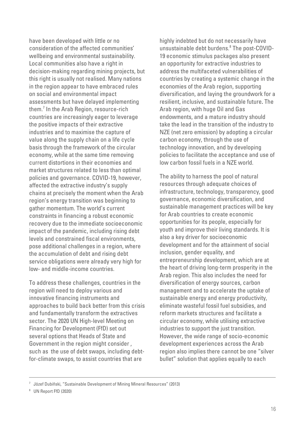have been developed with little or no consideration of the affected communities' wellbeing and environmental sustainability. Local communities also have a right in decision-making regarding mining projects, but this right is usually not realised. Many nations in the region appear to have embraced rules on social and environmental impact assessments but have delayed implementing them.[7](#page-15-0) In the Arab Region, resource-rich countries are increasingly eager to leverage the positive impacts of their extractive industries and to maximise the capture of value along the supply chain on a life cycle basis through the framework of the circular economy, while at the same time removing current distortions in their economies and market structures related to less than optimal policies and governance. COVID-19, however, affected the extractive industry's supply chains at precisely the moment when the Arab region's energy transition was beginning to gather momentum. The world's current constraints in financing a robust economic recovery due to the immediate socioeconomic impact of the pandemic, including rising debt levels and constrained fiscal environments, pose additional challenges in a region, where the accumulation of debt and rising debt service obligations were already very high for low- and middle-income countries.

To address these challenges, countries in the region will need to deploy various and innovative financing instruments and approaches to build back better from this crisis and fundamentally transform the extractives sector. The 2020 UN High-level Meeting on Financing for Development (FfD) set out several options that Heads of State and Government in the region might consider , such as the use of debt swaps, including debtfor-climate swaps, to assist countries that are

highly indebted but do not necessarily have unsustainable debt burdens. [8](#page-15-1) The post-COVID-19 economic stimulus packages also present an opportunity for extractive industries to address the multifaceted vulnerabilities of countries by creating a systemic change in the economies of the Arab region, supporting diversification, and laying the groundwork for a resilient, inclusive, and sustainable future. The Arab region, with huge Oil and Gas endowments, and a mature industry should take the lead in the transition of the industry to NZE (net zero emission) by adopting a circular carbon economy, through the use of technology innovation, and by developing policies to facilitate the acceptance and use of low carbon fossil fuels in a NZE world.

The ability to harness the pool of natural resources through adequate choices of infrastructure, technology, transparency, good governance, economic diversification, and sustainable management practices will be key for Arab countries to create economic opportunities for its people, especially for youth and improve their living standards. It is also a key driver for socioeconomic development and for the attainment of social inclusion, gender equality, and entrepreneurship development, which are at the heart of driving long-term prosperity in the Arab region. This also includes the need for diversification of energy sources, carbon management and to accelerate the uptake of sustainable energy and energy productivity, eliminate wasteful fossil fuel subsidies, and reform markets structures and facilitate a circular economy, while utilising extractive industries to support the just transition. However, the wide range of socio-economic development experiences across the Arab region also implies there cannot be one "silver bullet" solution that applies equally to each

<span id="page-15-0"></span> $7$  Józef Dubiñski, "Sustainable Development of Mining Mineral Resources" (2013)

<span id="page-15-1"></span><sup>8</sup> UN Report FfD (2020)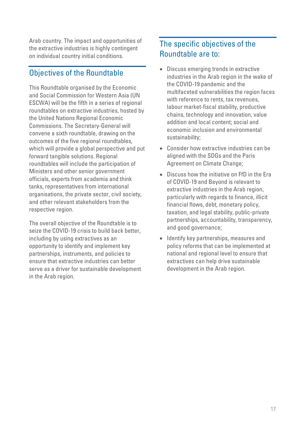Arab country. The impact and opportunities of the extractive industries is highly contingent on individual country initial conditions.

### Objectives of the Roundtable

This Roundtable organised by the Economic and Social Commission for Western Asia (UN ESCWA) will be the fifth in a series of regional roundtables on extractive industries, hosted by the United Nations Regional Economic Commissions. The Secretary-General will convene a sixth roundtable, drawing on the outcomes of the five regional roundtables, which will provide a global perspective and put forward tangible solutions. Regional roundtables will include the participation of Ministers and other senior government officials, experts from academia and think tanks, representatives from international organisations, the private sector, civil society, and other relevant stakeholders from the respective region.

The overall objective of the Roundtable is to seize the COVID-19 crisis to build back better, including by using extractives as an opportunity to identify and implement key partnerships, instruments, and policies to ensure that extractive industries can better serve as a driver for sustainable development in the Arab region.

### The specific objectives of the Roundtable are to:

- Discuss emerging trends in extractive industries in the Arab region in the wake of the COVID-19 pandemic and the multifaceted vulnerabilities the region faces with reference to rents, tax revenues, labour market-fiscal stability, productive chains, technology and innovation, value addition and local content; social and economic inclusion and environmental sustainability;
- Consider how extractive industries can be aligned with the SDGs and the Paris Agreement on Climate Change;
- Discuss how the initiative on FfD in the Era of COVID-19 and Beyond is relevant to extractive industries in the Arab region, particularly with regards to finance, illicit financial flows, debt, monetary policy, taxation, and legal stability, public-private partnerships, accountability, transparency, and good governance;
- Identify key partnerships, measures and policy reforms that can be implemented at national and regional level to ensure that extractives can help drive sustainable development in the Arab region.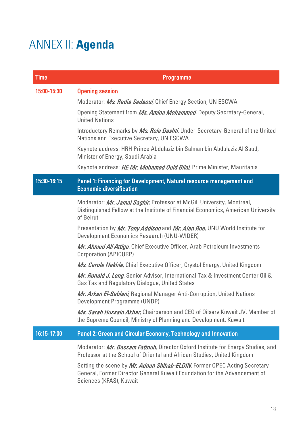# <span id="page-17-0"></span>ANNEX II: **Agenda**

| <b>Time</b> | <b>Programme</b>                                                                                                                                                                  |
|-------------|-----------------------------------------------------------------------------------------------------------------------------------------------------------------------------------|
| 15:00-15:30 | <b>Opening session</b>                                                                                                                                                            |
|             | Moderator: Ms. Radia Sedaoui, Chief Energy Section, UN ESCWA                                                                                                                      |
|             | Opening Statement from Ms. Amina Mohammed, Deputy Secretary-General,<br><b>United Nations</b>                                                                                     |
|             | Introductory Remarks by Ms. Rola Dashti, Under-Secretary-General of the United<br>Nations and Executive Secretary, UN ESCWA                                                       |
|             | Keynote address: HRH Prince Abdulaziz bin Salman bin Abdulaziz Al Saud,<br>Minister of Energy, Saudi Arabia                                                                       |
|             | Keynote address: HE Mr. Mohamed Ould Bilal, Prime Minister, Mauritania                                                                                                            |
| 15:30-16:15 | Panel 1: Financing for Development, Natural resource management and<br><b>Economic diversification</b>                                                                            |
|             | Moderator: Mr. Jamal Saghir, Professor at McGill University, Montreal,<br>Distinguished Fellow at the Institute of Financial Economics, American University<br>of Beirut          |
|             | Presentation by Mr. Tony Addison and Mr. Alan Roe, UNU World Institute for<br>Development Economics Research (UNU-WIDER)                                                          |
|             | Mr. Ahmed Ali Attiga, Chief Executive Officer, Arab Petroleum Investments<br>Corporation (APICORP)                                                                                |
|             | Ms. Carole Nakhle, Chief Executive Officer, Crystol Energy, United Kingdom                                                                                                        |
|             | Mr. Ronald J. Long, Senior Advisor, International Tax & Investment Center Oil &<br>Gas Tax and Regulatory Dialogue, United States                                                 |
|             | Mr. Arkan El-Seblani, Regional Manager Anti-Corruption, United Nations<br>Development Programme (UNDP)                                                                            |
|             | Ms. Sarah Hussain Akbar, Chairperson and CEO of Oilserv Kuwait JV, Member of<br>the Supreme Council, Ministry of Planning and Development, Kuwait                                 |
| 16:15-17:00 | Panel 2: Green and Circular Economy, Technology and Innovation                                                                                                                    |
|             | Moderator: Mr. Bassam Fattouh, Director Oxford Institute for Energy Studies, and<br>Professor at the School of Oriental and African Studies, United Kingdom                       |
|             | Setting the scene by Mr. Adnan Shihab-ELDIN, Former OPEC Acting Secretary<br>General, Former Director General Kuwait Foundation for the Advancement of<br>Sciences (KFAS), Kuwait |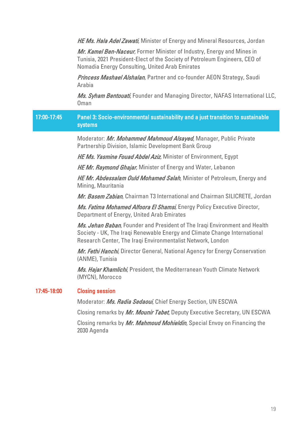HE Ms. Hala Adel Zawati, Minister of Energy and Mineral Resources, Jordan

Mr. Kamel Ben-Naceur, Former Minister of Industry, Energy and Mines in Tunisia, 2021 President-Elect of the Society of Petroleum Engineers, CEO of Nomadia Energy Consulting, United Arab Emirates

**Princess Mashael Alshalan**, Partner and co-founder AEON Strategy, Saudi Arabia

Ms. Syham Bentouati, Founder and Managing Director, NAFAS International LLC, Oman

#### 17:00-17:45 Panel 3: Socio-environmental sustainability and a just transition to sustainable systems

Moderator: Mr. Mohammed Mahmoud Alsayed, Manager, Public Private Partnership Division, Islamic Development Bank Group

HE Ms. Yasmine Fouad Abdel Aziz, Minister of Environment, Egypt

HE Mr. Raymond Ghajar, Minister of Energy and Water, Lebanon

HE Mr. Abdessalam Ould Mohamed Salah, Minister of Petroleum, Energy and Mining, Mauritania

Mr. Basem Zabian, Chairman T3 International and Chairman SILICRETE, Jordan

Ms. Fatima Mohamed Alfoora El Shamsi, Energy Policy Executive Director, Department of Energy, United Arab Emirates

Ms. Jehan Baban, Founder and President of The Iraqi Environment and Health Society - UK, The Iraqi Renewable Energy and Climate Change International Research Center, The Iraqi Environmentalist Network, London

Mr. Fethi Hanchi, Director General, National Agency for Energy Conservation (ANME), Tunisia

Ms. Hajar Khamlichi, President, the Mediterranean Youth Climate Network (MYCN), Morocco

#### 17:45-18:00 Closing session

Moderator: Ms. Radia Sedaoui, Chief Energy Section, UN ESCWA

Closing remarks by Mr. Mounir Tabet, Deputy Executive Secretary, UN ESCWA

Closing remarks by Mr. Mahmoud Mohieldin, Special Envoy on Financing the 2030 Agenda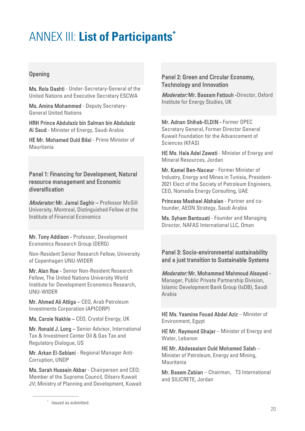## <span id="page-19-0"></span>ANNEX III: **List of Participants\***

#### **Opening**

Ms. Rola Dashti - Under-Secretary-General of the United Nations and Executive Secretary ESCWA

Ms. Amina Mohammed - Deputy Secretary-General United Nations

HRH Prince Abdulaziz bin Salman bin Abdulaziz Al Saud - Minister of Energy, Saudi Arabia

HE Mr. Mohamed Ould Bilal - Prime Minister of Mauritania

Panel 1: Financing for Development, Natural resource management and Economic diversification

Moderator: Mr. Jamal Saghir - Professor McGill University, Montreal, Distinguished Fellow at the Institute of Financial Economics

Mr. Tony Addison - Professor, Development Economics Research Group (DERG)

Non-Resident Senior Research Fellow, University of Copenhagen UNU-WIDER

Mr. Alan Roe - Senior Non-Resident Research Fellow, The United Nations University World Institute for Development Economics Research, UNU-WIDER

Mr. Ahmed Ali Attiga – CEO, Arab Petroleum Investments Corporation (APICORP)

Ms. Carole Nakhle – CEO, Crystol Energy, UK

Mr. Ronald J. Long – Senior Advisor, International Tax & Investment Center Oil & Gas Tax and Regulatory Dialogue, US

Mr. Arkan El-Seblani - Regional Manager Anti-Corruption, UNDP

Ms. Sarah Hussain Akbar - Chairperson and CEO; Member of the Supreme Council, Oilserv Kuwait JV; Ministry of Planning and Development, Kuwait

#### Panel 2: Green and Circular Economy, Technology and Innovation

Moderator: Mr. Bassam Fattouh -Director, Oxford Institute for Energy Studies, UK

Mr. Adnan Shihab-ELDIN - Former OPEC Secretary General, Former Director General Kuwait Foundation for the Advancement of Sciences (KFAS)

HE Ms. Hala Adel Zawati - Minister of Energy and Mineral Resources, Jordan

Mr. Kamel Ben-Naceur - Former Minister of Industry, Energy and Mines in Tunisia, President-2021 Elect of the Society of Petroleum Engineers, CEO, Nomadia Energy Consulting, UAE

Princess Mashael Alshalan - Partner and cofounder, AEON Strategy, Saudi Arabia

Ms. Syham Bentouati - Founder and Managing Director, NAFAS International LLC, Oman

Panel 3: Socio-environmental sustainability and a just transition to Sustainable Systems

Moderator: Mr. Mohammed Mahmoud Alsayed - Manager, Public Private Partnership Division, Islamic Development Bank Group (IsDB), Saudi Arabia

HE Ms. Yasmine Fouad Abdel Aziz – Minister of Environment, Egypt

HE Mr. Raymond Ghajar – Minister of Energy and Water, Lebanon

HE Mr. Abdessalam Ould Mohamed Salah – Minister of Petroleum, Energy and Mining, Mauritania

Mr. Basem Zabian – Chairman, T3 International and SILICRETE, Jordan

––––––––––––––––––––––––––––––

<sup>\*</sup> Issued as submitted.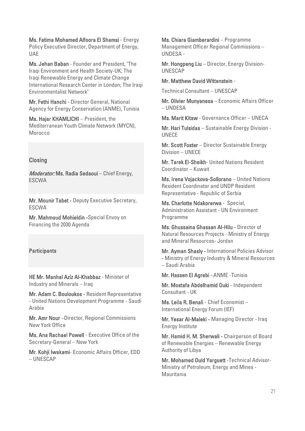Ms. Fatima Mohamed Alfoora El Shamsi - Energy Policy Executive Director, Department of Energy, UAE

Ms. Jehan Baban - Founder and President, "The Iraqi Environment and Health Society-UK; The Iraqi Renewable Energy and Climate Change International Research Center in London; The Iraqi Environmentalist Network"

Mr. Fethi Hanchi - Director General, National Agency for Energy Conservation (ANME), Tunisia

Ms. Hajar KHAMLICHI – President, the Mediterranean Youth Climate Network (MYCN), Morocco

#### **Closing**

Moderator: Ms. Radia Sedaoui - Chief Energy, ESCWA

Mr. Mounir Tabet - Deputy Executive Secretary, ESCWA

Mr. Mahmoud Mohieldin -Special Envoy on Financing the 2030 Agenda

#### **Participants**

HE Mr. Manhal Aziz Al-Khabbaz - Minister of Industry and Minerals – Iraq

Mr. Adam C. Bouloukos - Resident Representative - United Nations Development Programme - Saudi Arabia

Mr. Amr Nour –Director, Regional Commissions New York Office

Ms. Ana Rachael Powell - Executive Office of the Secretary-General – New York

Mr. Kohii Iwakami- Economic Affairs Officer, EDD – UNESCAP

Ms. Chiara Giamberardini – Programme Management Officer Regional Commissions – UNDESA -

Mr. Hongpeng Liu – Director, Energy Division-UNESCAP

#### Mr. Matthew David Wittenstein -

Technical Consultant – UNESCAP

Mr. Olivier Munyanesa – Economic Affairs Officer – UNDESA

Ms. Marit Kitaw - Governance Officer – UNECA

Mr. Hari Tulsidas – Sustainable Energy Division - UNECE

Mr. Scott Foster – Director Sustainable Energy Division – UNECE

Mr. Tarek El-Sheikh- United Nations Resident Coordinator – Kuwait

Ms. Irena Vojackova-Sollorano – United Nations Resident Coordinator and UNDP Resident Representative - Republic of Serbia

Ms. Charlotte Ndakorerwa - Special, Administration Assistant - UN Environment Programme

Ms. Ghussaina Ghassan Al-Hilu - Director of Natural Resources Projects - Ministry of Energy and Mineral Resources- Jordan

Mr. Ayman Shasly - International Policies Advisor - Ministry of Energy Industry & Mineral Resources – Saudi Arabia

Mr. Hassen El Agrebi –ANME -Tunisia

Mr. Mostafa Abdelhamid Ouki - Independent Consultant - UK

Ms. Leila R. Benali - Chief Economist – International Energy Forum (IEF)

Mr. Yesar Al-Maleki - Managing Director - Iraq Energy Institute

Mr. Hamid H. M. Sherwali - Chairperson of Board of Renewable Energies – Renewable Energy Authority of Libya

Mr. Mohamed Ould Yarguett -Technical Advisor-Ministry of Petroleum, Energy and Mines - Mauritania